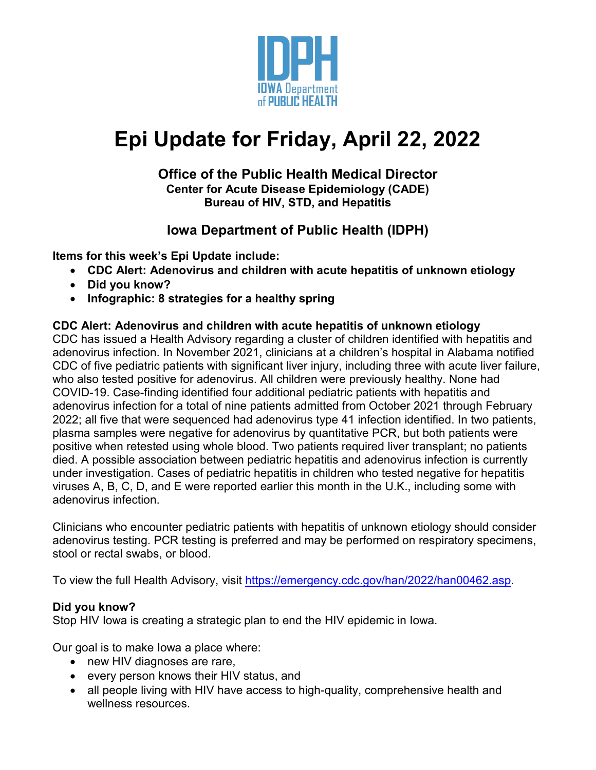

# **Epi Update for Friday, April 22, 2022**

#### **Office of the Public Health Medical Director Center for Acute Disease Epidemiology (CADE) Bureau of HIV, STD, and Hepatitis**

# **Iowa Department of Public Health (IDPH)**

**Items for this week's Epi Update include:**

- **CDC Alert: Adenovirus and children with acute hepatitis of unknown etiology**
- **Did you know?**
- **Infographic: 8 strategies for a healthy spring**

### **CDC Alert: Adenovirus and children with acute hepatitis of unknown etiology**

CDC has issued a Health Advisory regarding a cluster of children identified with hepatitis and adenovirus infection. In November 2021, clinicians at a children's hospital in Alabama notified CDC of five pediatric patients with significant liver injury, including three with acute liver failure, who also tested positive for adenovirus. All children were previously healthy. None had COVID-19. Case-finding identified four additional pediatric patients with hepatitis and adenovirus infection for a total of nine patients admitted from October 2021 through February 2022; all five that were sequenced had adenovirus type 41 infection identified. In two patients, plasma samples were negative for adenovirus by quantitative PCR, but both patients were positive when retested using whole blood. Two patients required liver transplant; no patients died. A possible association between pediatric hepatitis and adenovirus infection is currently under investigation. Cases of pediatric hepatitis in children who tested negative for hepatitis viruses A, B, C, D, and E were reported earlier this month in the U.K., including some with adenovirus infection.

Clinicians who encounter pediatric patients with hepatitis of unknown etiology should consider adenovirus testing. PCR testing is preferred and may be performed on respiratory specimens, stool or rectal swabs, or blood.

To view the full Health Advisory, visit [https://emergency.cdc.gov/han/2022/han00462.asp.](https://emergency.cdc.gov/han/2022/han00462.asp)

### **Did you know?**

Stop HIV Iowa is creating a strategic plan to end the HIV epidemic in Iowa.

Our goal is to make Iowa a place where:

- new HIV diagnoses are rare,
- every person knows their HIV status, and
- all people living with HIV have access to high-quality, comprehensive health and wellness resources.